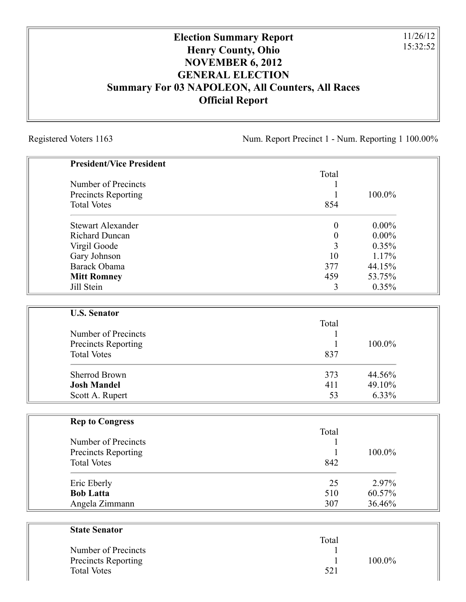## **Election Summary Report Henry County, Ohio NOVEMBER 6, 2012 GENERAL ELECTION Summary For 03 NAPOLEON, All Counters, All Races Official Report**

Registered Voters 1163 Num. Report Precinct 1 - Num. Reporting 1 100.00%

11/26/12 15:32:52

| <b>President/Vice President</b>            |            |                  |
|--------------------------------------------|------------|------------------|
|                                            | Total      |                  |
| Number of Precincts                        | 1          |                  |
| Precincts Reporting                        | 1          | 100.0%           |
| <b>Total Votes</b>                         | 854        |                  |
| <b>Stewart Alexander</b>                   | $\theta$   | $0.00\%$         |
| <b>Richard Duncan</b>                      | $\theta$   | $0.00\%$         |
| Virgil Goode                               | 3          | 0.35%            |
| Gary Johnson                               | 10         | 1.17%            |
| Barack Obama                               | 377        | 44.15%           |
| <b>Mitt Romney</b>                         | 459        | 53.75%           |
| Jill Stein                                 | 3          | 0.35%            |
| <b>U.S. Senator</b>                        |            |                  |
|                                            | Total      |                  |
| Number of Precincts                        | 1          |                  |
| Precincts Reporting                        | 1          | 100.0%           |
| <b>Total Votes</b>                         | 837        |                  |
|                                            |            |                  |
| <b>Sherrod Brown</b><br><b>Josh Mandel</b> | 373<br>411 | 44.56%<br>49.10% |
|                                            | 53         | 6.33%            |
| Scott A. Rupert                            |            |                  |
| <b>Rep to Congress</b>                     |            |                  |
|                                            | Total      |                  |
| Number of Precincts                        | 1          |                  |
| Precincts Reporting                        | 1          | 100.0%           |
| <b>Total Votes</b>                         | 842        |                  |
| Eric Eberly                                | 25         | 2.97%            |
| <b>Bob Latta</b>                           | 510        | 60.57%           |
| Angela Zimmann                             | 307        | 36.46%           |
| <b>State Senator</b>                       |            |                  |
|                                            | Total      |                  |

Number of Precincts 1

Total Votes 521

Precincts Reporting 1 100.0%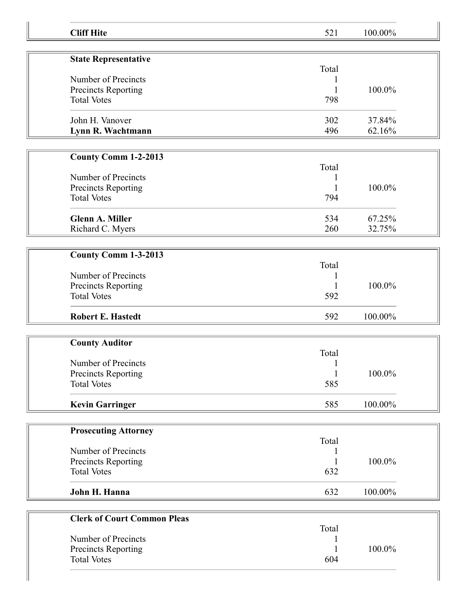| <b>Cliff Hite</b>                  | 521          | 100.00% |  |
|------------------------------------|--------------|---------|--|
|                                    |              |         |  |
| <b>State Representative</b>        |              |         |  |
| Number of Precincts                | Total        |         |  |
| Precincts Reporting                |              | 100.0%  |  |
| <b>Total Votes</b>                 | 798          |         |  |
|                                    |              |         |  |
| John H. Vanover                    | 302          | 37.84%  |  |
| Lynn R. Wachtmann                  | 496          | 62.16%  |  |
|                                    |              |         |  |
| <b>County Comm 1-2-2013</b>        | Total        |         |  |
| Number of Precincts                |              |         |  |
| Precincts Reporting                |              | 100.0%  |  |
| <b>Total Votes</b>                 | 794          |         |  |
|                                    |              |         |  |
| <b>Glenn A. Miller</b>             | 534          | 67.25%  |  |
| Richard C. Myers                   | 260          | 32.75%  |  |
|                                    |              |         |  |
| County Comm 1-3-2013               |              |         |  |
|                                    | Total        |         |  |
| Number of Precincts                |              |         |  |
| Precincts Reporting                |              | 100.0%  |  |
| <b>Total Votes</b>                 | 592          |         |  |
| <b>Robert E. Hastedt</b>           | 592          | 100.00% |  |
|                                    |              |         |  |
| <b>County Auditor</b>              |              |         |  |
|                                    | Total        |         |  |
| Number of Precincts                | $\mathbf{1}$ |         |  |
| Precincts Reporting                |              | 100.0%  |  |
| <b>Total Votes</b>                 | 585          |         |  |
| <b>Kevin Garringer</b>             | 585          | 100.00% |  |
|                                    |              |         |  |
| <b>Prosecuting Attorney</b>        |              |         |  |
|                                    | Total        |         |  |
| Number of Precincts                |              |         |  |
| Precincts Reporting                |              | 100.0%  |  |
| <b>Total Votes</b>                 | 632          |         |  |
| John H. Hanna                      | 632          | 100.00% |  |
|                                    |              |         |  |
| <b>Clerk of Court Common Pleas</b> |              |         |  |
|                                    | Total        |         |  |
| Number of Precincts                |              |         |  |
| <b>Precincts Reporting</b>         |              | 100.0%  |  |
| <b>Total Votes</b>                 | 604          |         |  |
|                                    |              |         |  |
|                                    |              |         |  |

I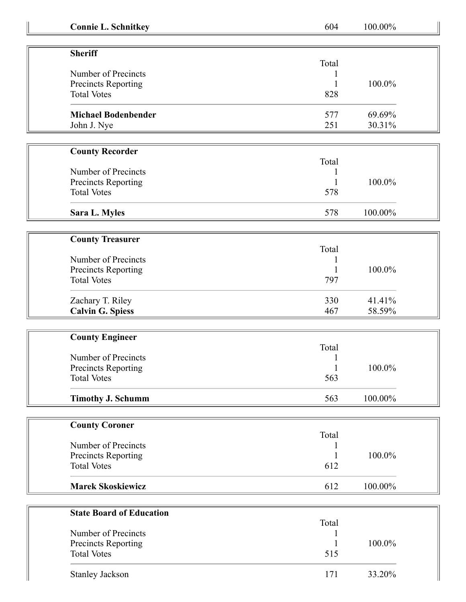| <b>Connie L. Schnitkey</b>      | 604   | 100.00%   |
|---------------------------------|-------|-----------|
|                                 |       |           |
| <b>Sheriff</b>                  |       |           |
|                                 | Total |           |
| Number of Precincts             |       |           |
| Precincts Reporting             |       | 100.0%    |
| <b>Total Votes</b>              | 828   |           |
| <b>Michael Bodenbender</b>      | 577   | 69.69%    |
| John J. Nye                     | 251   | 30.31%    |
|                                 |       |           |
| <b>County Recorder</b>          |       |           |
|                                 | Total |           |
| Number of Precincts             |       |           |
| Precincts Reporting             |       | 100.0%    |
| <b>Total Votes</b>              | 578   |           |
| Sara L. Myles                   | 578   | 100.00%   |
|                                 |       |           |
| <b>County Treasurer</b>         |       |           |
|                                 | Total |           |
| Number of Precincts             |       |           |
| Precincts Reporting             |       | 100.0%    |
| <b>Total Votes</b>              | 797   |           |
| Zachary T. Riley                | 330   | 41.41%    |
| <b>Calvin G. Spiess</b>         | 467   | 58.59%    |
|                                 |       |           |
| <b>County Engineer</b>          |       |           |
|                                 | Total |           |
| Number of Precincts             |       |           |
| <b>Precincts Reporting</b>      | 1     | $100.0\%$ |
| <b>Total Votes</b>              | 563   |           |
| <b>Timothy J. Schumm</b>        | 563   | 100.00%   |
|                                 |       |           |
| <b>County Coroner</b>           |       |           |
|                                 | Total |           |
| Number of Precincts             |       |           |
| Precincts Reporting             |       | 100.0%    |
| <b>Total Votes</b>              | 612   |           |
| <b>Marek Skoskiewicz</b>        | 612   | 100.00%   |
|                                 |       |           |
| <b>State Board of Education</b> |       |           |
|                                 | Total |           |
| Number of Precincts             |       |           |
| Precincts Reporting             |       | 100.0%    |
| <b>Total Votes</b>              | 515   |           |
| <b>Stanley Jackson</b>          | 171   | 33.20%    |
|                                 |       |           |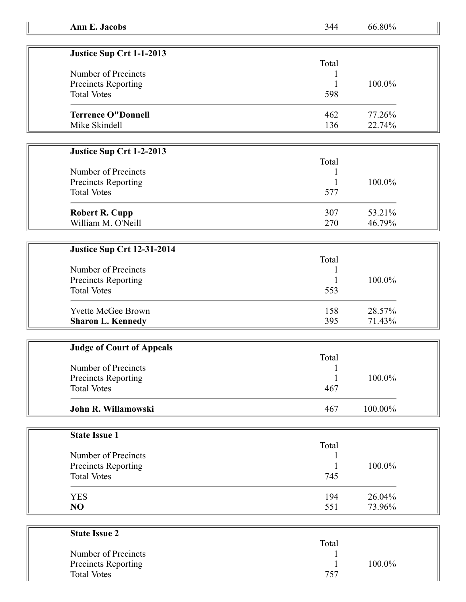| Ann E. Jacobs | 344 | 66.80% |
|---------------|-----|--------|
|---------------|-----|--------|

| Justice Sup Crt 1-1-2013   |       |        |
|----------------------------|-------|--------|
|                            | Total |        |
| Number of Precincts        |       |        |
| <b>Precincts Reporting</b> |       | 100.0% |
| <b>Total Votes</b>         | 598   |        |
| <b>Terrence O"Donnell</b>  | 462   | 77.26% |
| Mike Skindell              | 136   | 22.74% |

## **Justice Sup Crt 1-2-2013**

| Number of Precincts<br>Precincts Reporting<br><b>Total Votes</b> | Total<br>577 | 100.0% |
|------------------------------------------------------------------|--------------|--------|
| <b>Robert R. Cupp</b>                                            | 307          | 53.21% |
| William M. O'Neill                                               | 270          | 46.79% |

## **Justice Sup Crt 12-31-2014**

| Number of Precincts<br><b>Precincts Reporting</b> | Total | 100.0% |
|---------------------------------------------------|-------|--------|
| <b>Total Votes</b>                                | 553   |        |
| <b>Yvette McGee Brown</b>                         | 158   | 28.57% |
| <b>Sharon L. Kennedy</b>                          | 395   | 71.43% |

| <b>Judge of Court of Appeals</b> |       |            |
|----------------------------------|-------|------------|
|                                  | Total |            |
| Number of Precincts              |       |            |
| Precincts Reporting              |       | 100.0%     |
| <b>Total Votes</b>               | 467   |            |
| John R. Willamowski              | 467   | $100.00\%$ |

| <b>State Issue 1</b> |       |        |
|----------------------|-------|--------|
|                      | Total |        |
| Number of Precincts  |       |        |
| Precincts Reporting  |       | 100.0% |
| <b>Total Votes</b>   | 745   |        |
| <b>YES</b>           | 194   | 26.04% |
| N <sub>O</sub>       | 551   | 73.96% |

| <b>State Issue 2</b>       |       |        |
|----------------------------|-------|--------|
|                            | Total |        |
| Number of Precincts        |       |        |
| <b>Precincts Reporting</b> |       | 100.0% |
| <b>Total Votes</b>         | 757   |        |